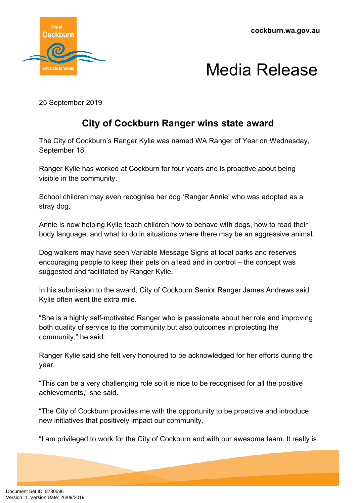

## Media Release

25 September 2019

## **City of Cockburn Ranger wins state award**

The City of Cockburn's Ranger Kylie was named WA Ranger of Year on Wednesday, September 18.

Ranger Kylie has worked at Cockburn for four years and is proactive about being visible in the community.

School children may even recognise her dog 'Ranger Annie' who was adopted as a stray dog.

Annie is now helping Kylie teach children how to behave with dogs, how to read their body language, and what to do in situations where there may be an aggressive animal.

Dog walkers may have seen Variable Message Signs at local parks and reserves encouraging people to keep their pets on a lead and in control – the concept was suggested and facilitated by Ranger Kylie.

In his submission to the award, City of Cockburn Senior Ranger James Andrews said Kylie often went the extra mile.

"She is a highly self-motivated Ranger who is passionate about her role and improving both quality of service to the community but also outcomes in protecting the community," he said.

Ranger Kylie said she felt very honoured to be acknowledged for her efforts during the year.

"This can be a very challenging role so it is nice to be recognised for all the positive achievements," she said.

"The City of Cockburn provides me with the opportunity to be proactive and introduce new initiatives that positively impact our community.

"I am privileged to work for the City of Cockburn and with our awesome team. It really is